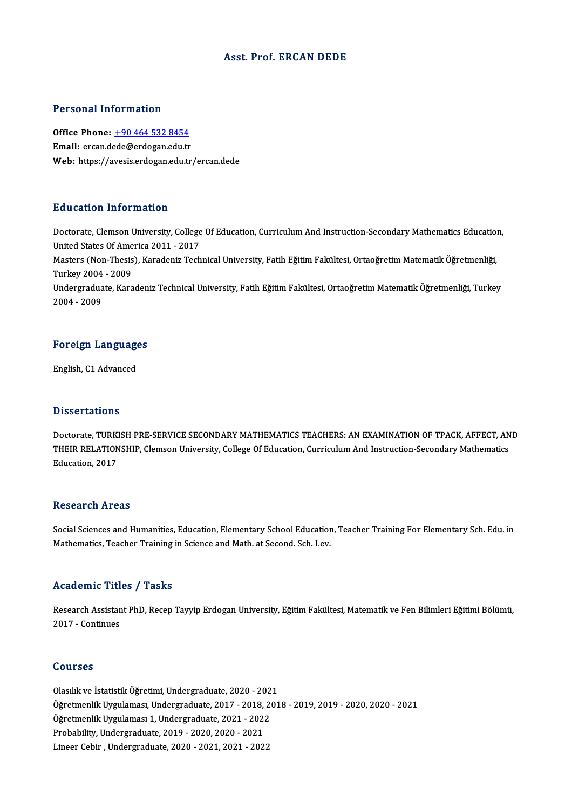## Asst. Prof. ERCAN DEDE

### Personal Information

Office Phone: +90 464 532 8454 Email: ercan.d[ede@erdogan.edu.tr](tel:+90 464 532 8454) Web: https://avesis.erdogan.edu.tr/ercan.dede

## Education Information

Doctorate, Clemson University, College Of Education, Curriculum And Instruction-Secondary Mathematics Education, Putted States<br>Doctorate, Clemson University, College<br>United States Of America 2011 - 2017<br>Mesters (Non Thesia), Karadoniz Tech Masters (Non-Thesis), Karadeniz Technical University, Fatih Eğitim Fakültesi, Ortaoğretim Matematik Öğretmenliği,<br>Turkey 2004 - 2009 United States Of Ame<br>Masters (Non-Thesis<br>Turkey 2004 - 2009<br>Undergreduate Kers Masters (Non-Thesis), Karadeniz Technical University, Fatih Eğitim Fakültesi, Ortaoğretim Matematik Öğretmenliği,<br>Turkey 2004 - 2009<br>Undergraduate, Karadeniz Technical University, Fatih Eğitim Fakültesi, Ortaoğretim Matema Turkey 2004<br>Undergradua<br>2004 - 2009

## <sub>2004</sub> - <sub>2009</sub><br>Foreign Languages <mark>Foreign Languag</mark><br>English, C1 Advanced

English, C1 Advanced<br>Dissertations

Dissertations<br>Doctorate, TURKISH PRE-SERVICE SECONDARY MATHEMATICS TEACHERS: AN EXAMINATION OF TPACK, AFFECT, AND<br>THEIR RELATIONSHIR Clamson University College Of Education Curriculum And Instruction Secondary Mathematics D'ISSOT CATIONS<br>Doctorate, TURKISH PRE-SERVICE SECONDARY MATHEMATICS TEACHERS: AN EXAMINATION OF TPACK, AFFECT, AN<br>THEIR RELATIONSHIP, Clemson University, College Of Education, Curriculum And Instruction-Secondary Mathemat Doctorate, TURK<br>THEIR RELATION<br>Education, 2017 Education, 2017<br>Research Areas

Research Areas<br>Social Sciences and Humanities, Education, Elementary School Education, Teacher Training For Elementary Sch. Edu. in<br>Mathematics, Teacher Training in Science and Meth at Second, Sch. Lev. Resear en III eas<br>Social Sciences and Humanities, Education, Elementary School Educatior<br>Mathematics, Teacher Training in Science and Math. at Second. Sch. Lev. Mathematics, Teacher Training in Science and Math. at Second. Sch. Lev.<br>Academic Titles / Tasks

**Academic Titles / Tasks**<br>Research Assistant PhD, Recep Tayyip Erdogan University, Eğitim Fakültesi, Matematik ve Fen Bilimleri Eğitimi Bölümü,<br>2017, Continues Example<br>2017 - Continues<br>2017 - Continues 2017 - Continues<br>Courses

Olasılıkve İstatistikÖğretimi,Undergraduate,2020 -2021 Ööürses<br>Olasılık ve İstatistik Öğretimi, Undergraduate, 2020 - 2021<br>Öğretmenlik Uygulaması, Undergraduate, 2017 - 2018, 2018 - 2019, 2019 - 2020, 2020 - 2021<br>Öğretmenlik Uygulaması 1. Undergraduate, 2021, 2022 Olasılık ve İstatistik Öğretimi, Undergraduate, 2020 - 202<br>Öğretmenlik Uygulaması, Undergraduate, 2017 - 2018, 20<br>Öğretmenlik Uygulaması 1, Undergraduate, 2021 - 2022<br>Prehability Undergraduate, 2019, 2020, 2020, 2021 Öğretmenlik Uygulaması, Undergraduate, 2017 - 2018,<br>Öğretmenlik Uygulaması 1, Undergraduate, 2021 - 202:<br>Probability, Undergraduate, 2020 - 2020, 2020 - 2021<br>Lineer Cebin, Undergraduate, 2020, 2021, 2021, 202 Öğretmenlik Uygulaması 1, Undergraduate, 2021 - 2022<br>Probability, Undergraduate, 2019 - 2020, 2020 - 2021<br>Lineer Cebir , Undergraduate, 2020 - 2021, 2021 - 2022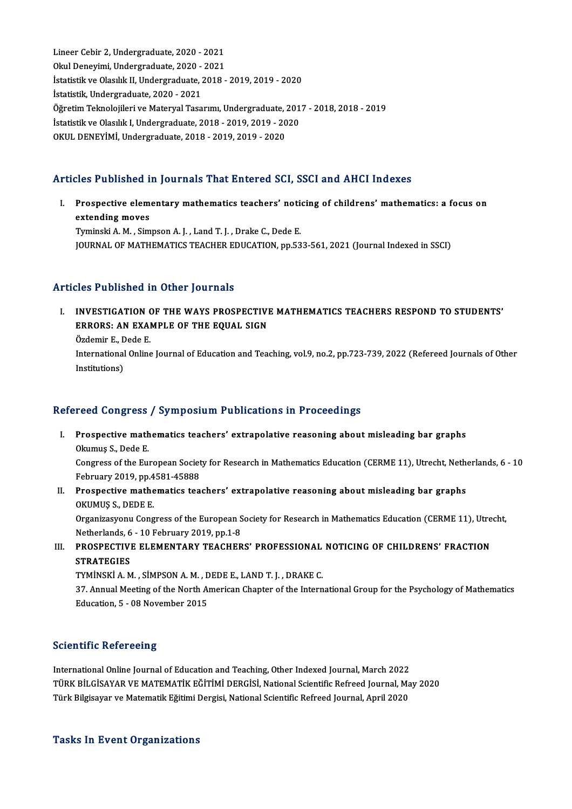Lineer Cebir 2, Undergraduate, 2020 - 2021<br>Okul Denovimi, Undergraduate, 2020 - 2021 Lineer Cebir 2, Undergraduate, 2020 - 2021<br>Okul Deneyimi, Undergraduate, 2020 - 2021<br>Istatistik ve Olasılık II. Undergraduate, 2019 Okul Deneyimi, Undergraduate, 2020 - 2021<br>İstatistik ve Olasılık II, Undergraduate, 2018 - 2019, 2019 - 2020 İstatistik, Undergraduate, 2020 - 2021 İstatistik ve Olasılık II, Undergraduate, 2018 - 2019, 2019 - 2020<br>İstatistik, Undergraduate, 2020 - 2021<br>Öğretim Teknolojileri ve Materyal Tasarımı, Undergraduate, 2017 - 2018, 2018 - 2019<br>İstatistik ve Olasılık I. Underg İstatistik, Undergraduate, 2020 - 2021<br>Öğretim Teknolojileri ve Materyal Tasarımı, Undergraduate, 201<br>İstatistik ve Olasılık I, Undergraduate, 2018 - 2019, 2019 - 2020<br>OKUL DENEVİMİ Undergraduate, 2018 - 2019, 2019, 2020 Öğretim Teknolojileri ve Materyal Tasarımı, Undergraduate, :<br>İstatistik ve Olasılık I, Undergraduate, 2018 - 2019, 2019 - 20<br>OKUL DENEYİMİ, Undergraduate, 2018 - 2019, 2019 - 2020

# OKUL DENEYİMİ, Undergraduate, 2018 - 2019, 2019 - 2020<br>Articles Published in Journals That Entered SCI, SSCI and AHCI Indexes

rticles Published in Journals That Entered SCI, SSCI and AHCI Indexes<br>I. Prospective elementary mathematics teachers' noticing of childrens' mathematics: a focus on<br>extending meyes extending moves<br>Prospective elem<br>Exminali A M Sim Prospective elementary mathematics teachers' notiextending moves<br>Tyminski A. M. , Simpson A. J. , Land T. J. , Drake C., Dede E.<br>JOUPMAL OF MATHEMATICS TEACHER EDUCATION, PR 53 extending moves<br>Tyminski A. M. , Simpson A. J. , Land T. J. , Drake C., Dede E.<br>JOURNAL OF MATHEMATICS TEACHER EDUCATION, pp.533-561, 2021 (Journal Indexed in SSCI)

## Articles Published in Other Journals

Turicles Published in Other Journals<br>I. INVESTIGATION OF THE WAYS PROSPECTIVE MATHEMATICS TEACHERS RESPOND TO STUDENTS'<br>ERROPS, AN EXAMPLE OF THE FOUAL SICN INVESTIGATION OF THE WAYS PROSPECTIVE<br>ERRORS: AN EXAMPLE OF THE EQUAL SIGN INVESTIGATION<br>ERRORS: AN EXAl<br>Özdemir E., Dede E.<br>International Online ERRORS: AN EXAMPLE OF THE EQUAL SIGN<br>Özdemir E., Dede E.<br>International Online Journal of Education and Teaching, vol.9, no.2, pp.723-739, 2022 (Refereed Journals of Other<br>Institutions) Özdemir E., D<br>International<br>Institutions)

# Institutions)<br>Refereed Congress / Symposium Publications in Proceedings

- efereed Congress / Symposium Publications in Proceedings<br>I. Prospective mathematics teachers' extrapolative reasoning about misleading bar graphs<br>Olamus S. Dede E Prospective math<br>Okumuş S., Dede E.<br>Congress of the Eu Prospective mathematics teachers' extrapolative reasoning about misleading bar graphs<br>Okumuş S., Dede E.<br>Congress of the European Society for Research in Mathematics Education (CERME 11), Utrecht, Netherlands, 6 - 10<br>Febru Okumuş S., Dede E.<br>Congress of the European Societ<br>February 2019, pp.4581-45888<br>Prospostive methematiss too Congress of the European Society for Research in Mathematics Education (CERME 11), Utrecht, Neth<br>February 2019, pp.4581-45888<br>II. Prospective mathematics teachers' extrapolative reasoning about misleading bar graphs<br>OVIMUS
- February 2019, pp.4<br>Prospective mathe<br>OKUMUŞ S., DEDE E.<br>Organizasıyonu Cong Prospective mathematics teachers' extrapolative reasoning about misleading bar graphs<br>OKUMUŞ S., DEDE E.<br>Organizasyonu Congress of the European Society for Research in Mathematics Education (CERME 11), Utrecht,<br>Natherlands OKUMUŞ S., DEDE E.<br>Organizasyonu Congress of the European S<br>Netherlands, 6 - 10 February 2019, pp.1-8<br>PROSPECTIVE ELEMENTAPY TEACHER
- Organizasyonu Congress of the European Society for Research in Mathematics Education (CERME 11), Utre<br>Netherlands, 6 10 February 2019, pp.1-8<br>III. PROSPECTIVE ELEMENTARY TEACHERS' PROFESSIONAL NOTICING OF CHILDRENS' FRAC Netherlands, 6<br>PROSPECTIVI<br>STRATEGIES<br>TYMINSKI A.M PROSPECTIVE ELEMENTARY TEACHERS' PROFESSIONAL<br>STRATEGIES<br>TYMİNSKİ A. M. , SİMPSON A. M. , DEDE E., LAND T. J. , DRAKE C.<br>27. Annual Maeting of the North American Chapter of the Intern

TYMINSKI A. M., SIMPSON A. M., DEDE E., LAND T. J., DRAKE C.

37. STRATEGIES<br>TYMINSKI A. M. , SIMPSON A. M. , DEDE E., LAND T. J. , DRAKE C.<br>37. Annual Meeting of the North American Chapter of the International Group for the Psychology of Mathematics<br>Education, 5 - 08 November 2015

## **Scientific Refereeing**

Scientific Refereeing<br>International Online Journal of Education and Teaching, Other Indexed Journal, March 2022<br>Tüpy Rit CiseNer VE MATEMATiv Fğirimi DERCisi, National Scientific Refreed Journal, Ma TÜRK BİLGİSAYAR VE MATEMATİK EĞİTİMİ DERGİSİ, National Scientific Refreed Journal, May 2020<br>Türk Bilgisayar ve Matematik Eğitimi Dergisi, National Scientific Refreed Journal, April 2020 International Online Journal of Education and Teaching, Other Indexed Journal, March 2022<br>TÜRK BİLGİSAYAR VE MATEMATİK EĞİTİMİ DERGİSİ, National Scientific Refreed Journal, Ma<br>Türk Bilgisayar ve Matematik Eğitimi Dergisi,

### **Tasks In Event Organizations**